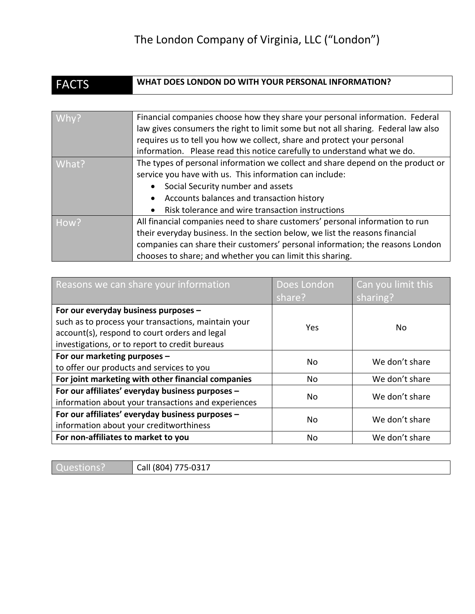## The London Company of Virginia, LLC ("London")

| <b>FACTS</b> | WHAT DOES LONDON DO WITH YOUR PERSONAL INFORMATION?                               |
|--------------|-----------------------------------------------------------------------------------|
|              |                                                                                   |
| Why?         | Financial companies choose how they share your personal information. Federal      |
|              | law gives consumers the right to limit some but not all sharing. Federal law also |
|              | requires us to tell you how we collect, share and protect your personal           |
|              | information. Please read this notice carefully to understand what we do.          |
| What?        | The types of personal information we collect and share depend on the product or   |
|              | service you have with us. This information can include:                           |
|              | Social Security number and assets                                                 |
|              | Accounts balances and transaction history                                         |
|              | Risk tolerance and wire transaction instructions                                  |
| How?         | All financial companies need to share customers' personal information to run      |
|              | their everyday business. In the section below, we list the reasons financial      |
|              | companies can share their customers' personal information; the reasons London     |
|              | chooses to share; and whether you can limit this sharing.                         |

| Reasons we can share your information               | Does London | Can you limit this |
|-----------------------------------------------------|-------------|--------------------|
|                                                     | share?      | sharing?           |
| For our everyday business purposes -                |             |                    |
| such as to process your transactions, maintain your | Yes         | No.                |
| account(s), respond to court orders and legal       |             |                    |
| investigations, or to report to credit bureaus      |             |                    |
| For our marketing purposes -                        | No          | We don't share     |
| to offer our products and services to you           |             |                    |
| For joint marketing with other financial companies  | No          | We don't share     |
| For our affiliates' everyday business purposes -    | No          | We don't share     |
| information about your transactions and experiences |             |                    |
| For our affiliates' everyday business purposes -    | No          | We don't share     |
| information about your creditworthiness             |             |                    |
| For non-affiliates to market to you                 | No          | We don't share     |

Questions? | Call (804) 775-0317